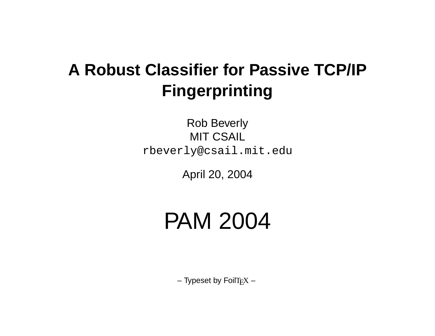## **A Robust Classifier for Passive TCP/IP Fingerprinting**

Rob Beverly MIT CSAIL rbeverly@csail.mit.edu

April 20, 2004

# PAM 2004

 $-$  Typeset by FoilT<sub>E</sub>X  $-$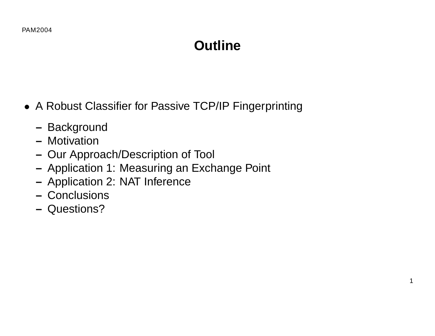## **Outline**

1

- A Robust Classifier for Passive TCP/IP Fingerprinting
	- **–** Background
	- **–** Motivation
	- **–** Our Approach/Description of Tool
	- **–** Application 1: Measuring an Exchange Point
	- **–** Application 2: NAT Inference
	- **–** Conclusions
	- **–** Questions?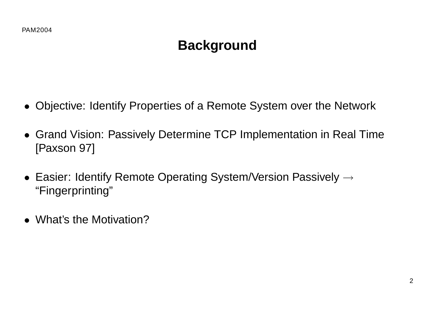## **Background**

- Objective: Identify Properties of a Remote System over the Network
- Grand Vision: Passively Determine TCP Implementation in Real Time [Paxson 97]
- Easier: Identify Remote Operating System/Version Passively  $\rightarrow$ "Fingerprinting"
- What's the Motivation?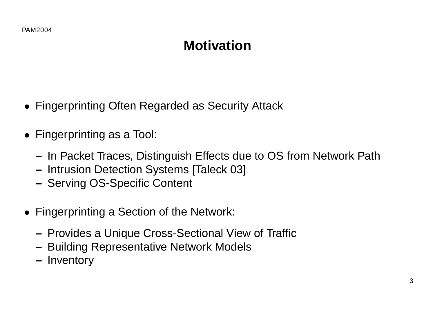## **Motivation**

- Fingerprinting Often Regarded as Security Attack
- Fingerprinting as a Tool:
	- **–** In Packet Traces, Distinguish Effects due to OS from Network Path
	- **–** Intrusion Detection Systems [Taleck 03]
	- **–** Serving OS-Specific Content
- Fingerprinting a Section of the Network:
	- **–** Provides a Unique Cross-Sectional View of Traffic
	- **–** Building Representative Network Models
	- **–** Inventory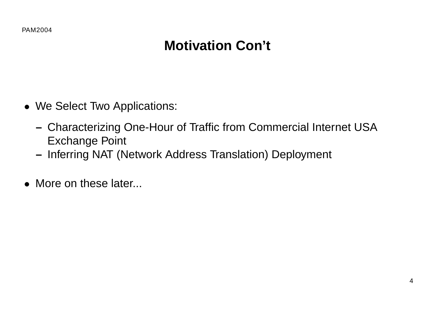## **Motivation Con't**

- We Select Two Applications:
	- **–** Characterizing One-Hour of Traffic from Commercial Internet USA Exchange Point
	- **–** Inferring NAT (Network Address Translation) Deployment
- More on these later...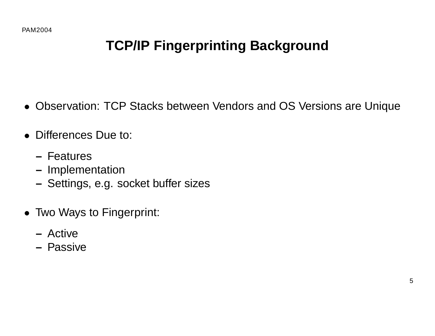## **TCP/IP Fingerprinting Background**

- Observation: TCP Stacks between Vendors and OS Versions are Unique
- Differences Due to:
	- **–** Features
	- **–** Implementation
	- **–** Settings, e.g. socket buffer sizes
- Two Ways to Fingerprint:
	- **–** Active
	- **–** Passive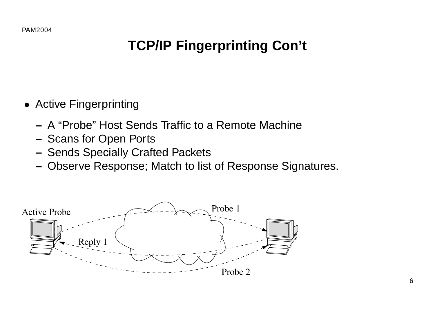## **TCP/IP Fingerprinting Con't**

- Active Fingerprinting
	- **–** A "Probe" Host Sends Traffic to a Remote Machine
	- **–** Scans for Open Ports
	- **–** Sends Specially Crafted Packets
	- **–** Observe Response; Match to list of Response Signatures.

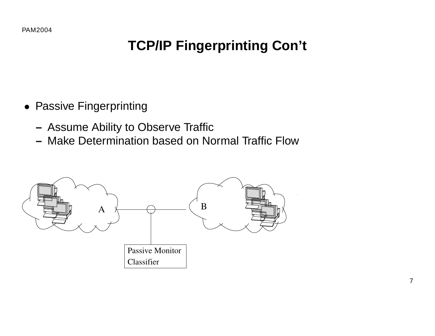## **TCP/IP Fingerprinting Con't**

- Passive Fingerprinting
	- **–** Assume Ability to Observe Traffic
	- **–** Make Determination based on Normal Traffic Flow

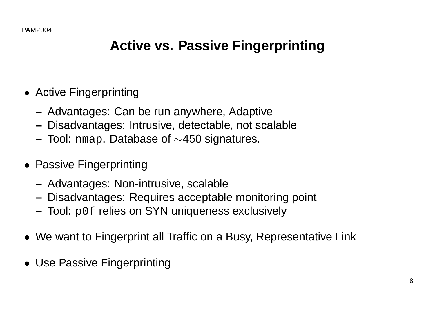### **Active vs. Passive Fingerprinting**

- Active Fingerprinting
	- **–** Advantages: Can be run anywhere, Adaptive
	- **–** Disadvantages: Intrusive, detectable, not scalable
	- **–** Tool: nmap. Database of ∼450 signatures.
- Passive Fingerprinting
	- **–** Advantages: Non-intrusive, scalable
	- **–** Disadvantages: Requires acceptable monitoring point
	- **–** Tool: p0f relies on SYN uniqueness exclusively
- We want to Fingerprint all Traffic on a Busy, Representative Link
- Use Passive Fingerprinting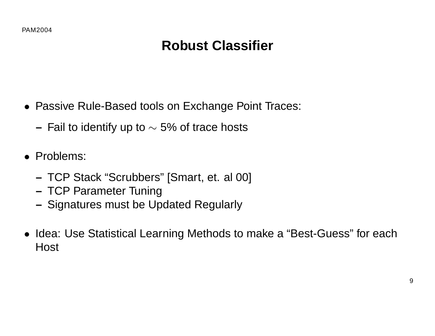## **Robust Classifier**

- Passive Rule-Based tools on Exchange Point Traces:
	- **–** Fail to identify up to ∼ 5% of trace hosts
- Problems:
	- **–** TCP Stack "Scrubbers" [Smart, et. al 00]
	- **–** TCP Parameter Tuning
	- **–** Signatures must be Updated Regularly
- Idea: Use Statistical Learning Methods to make a "Best-Guess" for each **Host**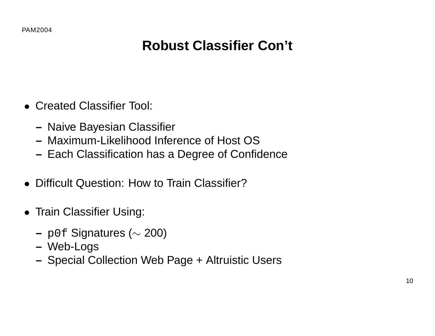- Created Classifier Tool:
	- **–** Naive Bayesian Classifier
	- **–** Maximum-Likelihood Inference of Host OS
	- **–** Each Classification has a Degree of Confidence
- Difficult Question: How to Train Classifier?
- Train Classifier Using:
	- **–** p0f Signatures (∼ 200)
	- **–** Web-Logs
	- **–** Special Collection Web Page + Altruistic Users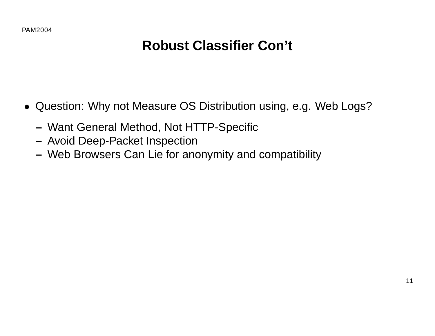- Question: Why not Measure OS Distribution using, e.g. Web Logs?
	- **–** Want General Method, Not HTTP-Specific
	- **–** Avoid Deep-Packet Inspection
	- **–** Web Browsers Can Lie for anonymity and compatibility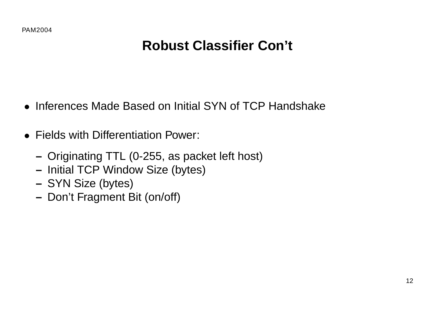- Inferences Made Based on Initial SYN of TCP Handshake
- Fields with Differentiation Power:
	- **–** Originating TTL (0-255, as packet left host)
	- **–** Initial TCP Window Size (bytes)
	- **–** SYN Size (bytes)
	- **–** Don't Fragment Bit (on/off)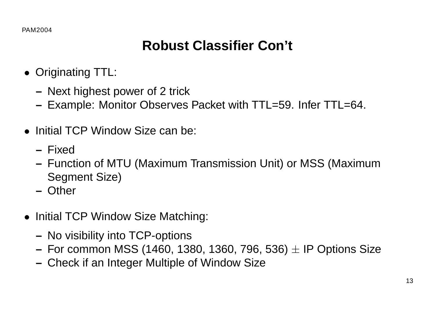- Originating TTL:
	- **–** Next highest power of 2 trick
	- **–** Example: Monitor Observes Packet with TTL=59. Infer TTL=64.
- Initial TCP Window Size can be:
	- **–** Fixed
	- **–** Function of MTU (Maximum Transmission Unit) or MSS (Maximum Segment Size)
	- **–** Other
- Initial TCP Window Size Matching:
	- **–** No visibility into TCP-options
	- **–** For common MSS (1460, 1380, 1360, 796, 536) ± IP Options Size
	- **–** Check if an Integer Multiple of Window Size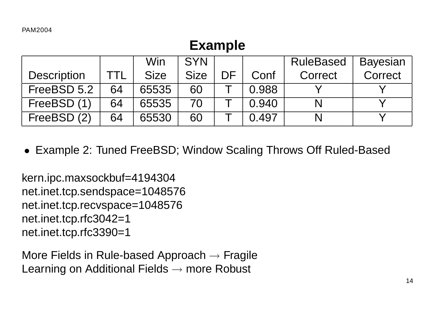#### **Example**

|                    |     | Win         | <b>SYN</b>  |    |       | <b>RuleBased</b> | Bayesian |
|--------------------|-----|-------------|-------------|----|-------|------------------|----------|
| <b>Description</b> | ΓTL | <b>Size</b> | <b>Size</b> | DF | Conf  | Correct          | Correct  |
| FreeBSD 5.2        | 64  | 65535       | 60          |    | 0.988 |                  |          |
| FreeBSD (1)        | 64  | 65535       | 70          |    | 0.940 |                  |          |
| FreeBSD (2)        | 64  | 65530       | 60          |    | 0.497 |                  |          |

• Example 2: Tuned FreeBSD; Window Scaling Throws Off Ruled-Based

kern.ipc.maxsockbuf=4194304 net.inet.tcp.sendspace=1048576 net.inet.tcp.recvspace=1048576 net.inet.tcp.rfc3042=1 net.inet.tcp.rfc3390=1

More Fields in Rule-based Approach  $\rightarrow$  Fragile Learning on Additional Fields  $\rightarrow$  more Robust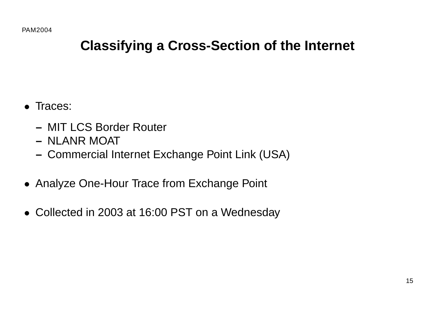#### **Classifying a Cross-Section of the Internet**

- Traces:
	- **–** MIT LCS Border Router
	- **–** NLANR MOAT
	- **–** Commercial Internet Exchange Point Link (USA)
- Analyze One-Hour Trace from Exchange Point
- Collected in 2003 at 16:00 PST on a Wednesday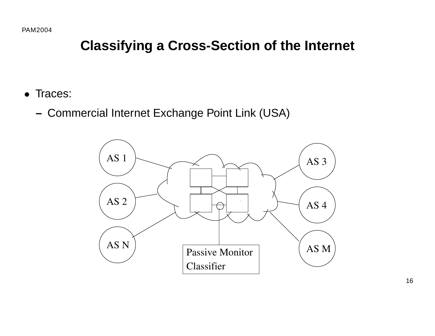#### **Classifying a Cross-Section of the Internet**

- Traces:
	- **–** Commercial Internet Exchange Point Link (USA)

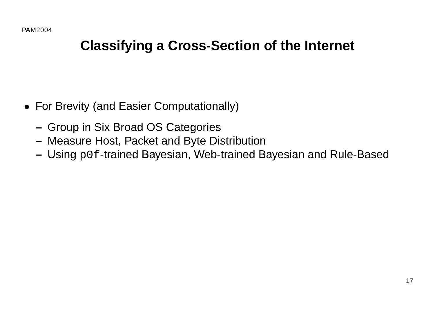#### **Classifying a Cross-Section of the Internet**

- For Brevity (and Easier Computationally)
	- **–** Group in Six Broad OS Categories
	- **–** Measure Host, Packet and Byte Distribution
	- **–** Using p0f-trained Bayesian, Web-trained Bayesian and Rule-Based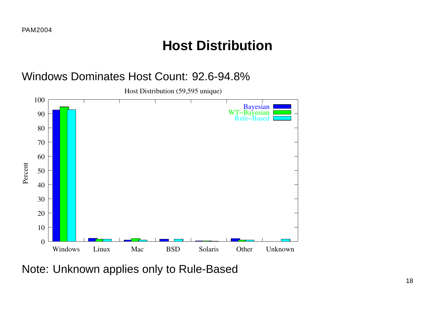#### **Host Distribution**





Note: Unknown applies only to Rule-Based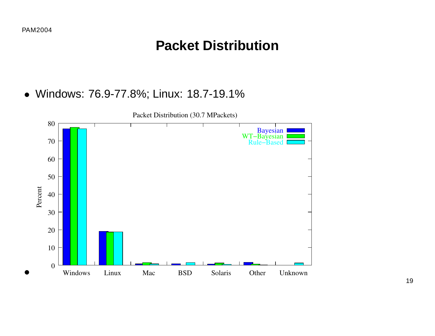#### **Packet Distribution**

• Windows: 76.9-77.8%; Linux: 18.7-19.1%

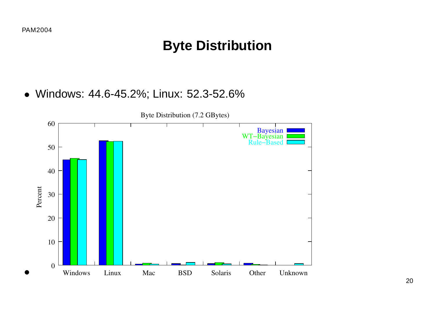#### **Byte Distribution**

• Windows: 44.6-45.2%; Linux: 52.3-52.6%

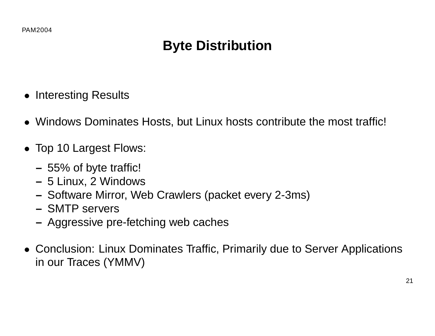## **Byte Distribution**

- Interesting Results
- Windows Dominates Hosts, but Linux hosts contribute the most traffic!
- Top 10 Largest Flows:
	- **–** 55% of byte traffic!
	- **–** 5 Linux, 2 Windows
	- **–** Software Mirror, Web Crawlers (packet every 2-3ms)
	- **–** SMTP servers
	- **–** Aggressive pre-fetching web caches
- Conclusion: Linux Dominates Traffic, Primarily due to Server Applications in our Traces (YMMV)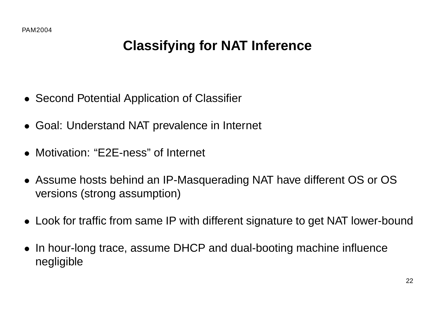## **Classifying for NAT Inference**

- Second Potential Application of Classifier
- Goal: Understand NAT prevalence in Internet
- Motivation: "E2E-ness" of Internet
- Assume hosts behind an IP-Masquerading NAT have different OS or OS versions (strong assumption)
- Look for traffic from same IP with different signature to get NAT lower-bound
- In hour-long trace, assume DHCP and dual-booting machine influence negligible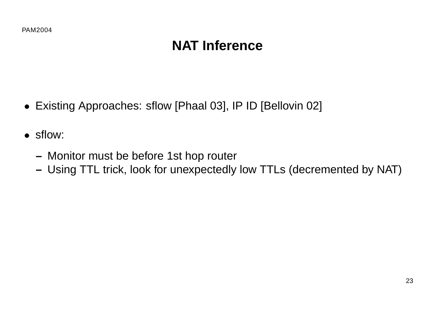## **NAT Inference**

- Existing Approaches: sflow [Phaal 03], IP ID [Bellovin 02]
- sflow:
	- **–** Monitor must be before 1st hop router
	- **–** Using TTL trick, look for unexpectedly low TTLs (decremented by NAT)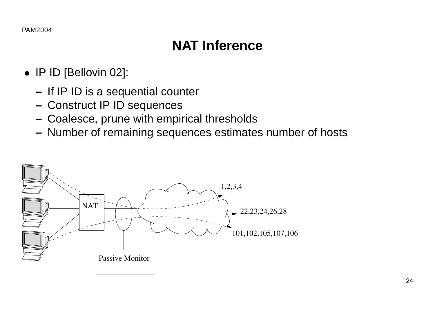## **NAT Inference**

- IP ID [Bellovin 02]:
	- **–** If IP ID is a sequential counter
	- **–** Construct IP ID sequences
	- **–** Coalesce, prune with empirical thresholds
	- **–** Number of remaining sequences estimates number of hosts

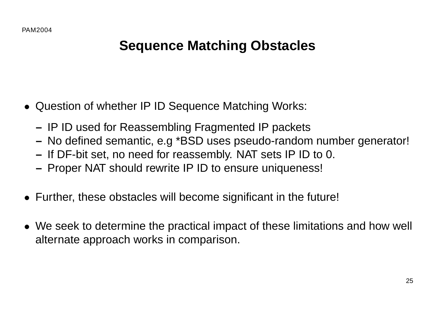### **Sequence Matching Obstacles**

- Question of whether IP ID Sequence Matching Works:
	- **–** IP ID used for Reassembling Fragmented IP packets
	- **–** No defined semantic, e.g \*BSD uses pseudo-random number generator!
	- **–** If DF-bit set, no need for reassembly. NAT sets IP ID to 0.
	- **–** Proper NAT should rewrite IP ID to ensure uniqueness!
- Further, these obstacles will become significant in the future!
- We seek to determine the practical impact of these limitations and how well alternate approach works in comparison.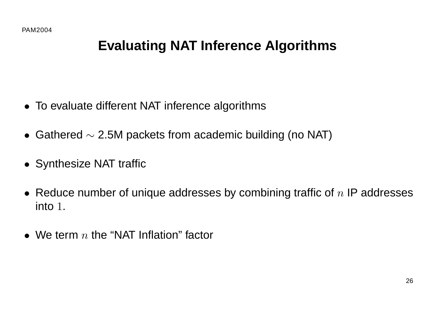## **Evaluating NAT Inference Algorithms**

- To evaluate different NAT inference algorithms
- Gathered  $\sim$  2.5M packets from academic building (no NAT)
- Synthesize NAT traffic
- Reduce number of unique addresses by combining traffic of  $n$  IP addresses into 1.
- We term  $n$  the "NAT Inflation" factor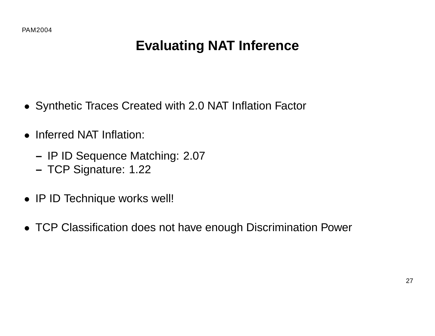## **Evaluating NAT Inference**

- Synthetic Traces Created with 2.0 NAT Inflation Factor
- Inferred NAT Inflation:
	- **–** IP ID Sequence Matching: 2.07
	- **–** TCP Signature: 1.22
- IP ID Technique works well!
- TCP Classification does not have enough Discrimination Power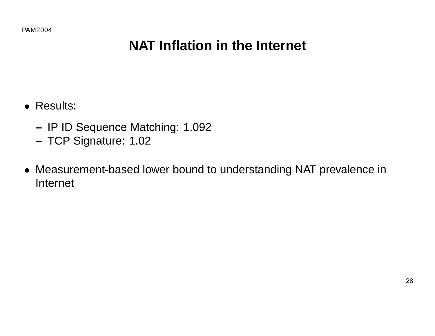## **NAT Inflation in the Internet**

- Results:
	- **–** IP ID Sequence Matching: 1.092
	- **–** TCP Signature: 1.02
- Measurement-based lower bound to understanding NAT prevalence in Internet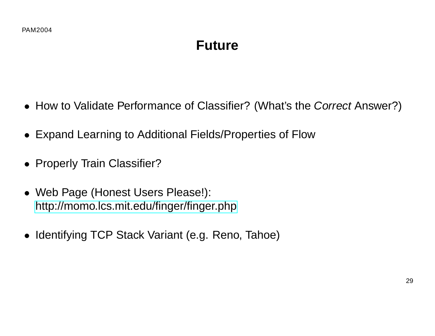#### **Future**

- How to Validate Performance of Classifier? (What's the Correct Answer?)
- Expand Learning to Additional Fields/Properties of Flow
- Properly Train Classifier?
- Web Page (Honest Users Please!): <http://momo.lcs.mit.edu/finger/finger.php>
- Identifying TCP Stack Variant (e.g. Reno, Tahoe)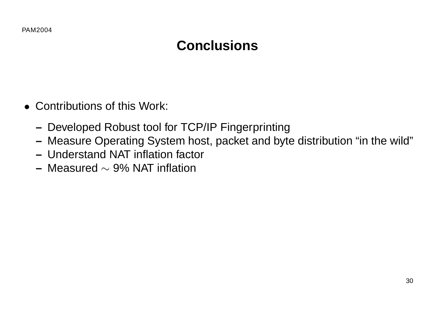## **Conclusions**

- Contributions of this Work:
	- **–** Developed Robust tool for TCP/IP Fingerprinting
	- **–** Measure Operating System host, packet and byte distribution "in the wild"
	- **–** Understand NAT inflation factor
	- **–** Measured ∼ 9% NAT inflation